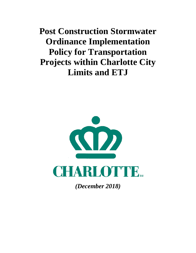**Post Construction Stormwater Ordinance Implementation Policy for Transportation Projects within Charlotte City Limits and ETJ**



*(December 2018)*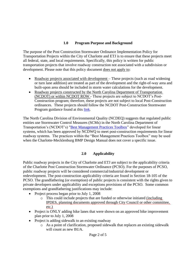# **1.0 Program Purpose and Background**

The purpose of the Post Construction Stormwater Ordinance Implementation Policy for Transportation Projects within the City of Charlotte and ETJ is to ensure that these projects meet all federal, state, and local requirements. Specifically, this policy is written for public transportation projects that involve roadway construction not associated with a subdivision or development. Please note that this policy document does not apply to:

- Roadway projects associated with development These projects (such as road widening or turn lane addition) are treated as part of the development and the right-of-way area and built-upon area should be included in storm water calculations for the development.
- Roadway projects constructed by the North Carolina Department of Transportation (NCDOT) or within NCDOT ROW - These projects are subject to NCDOT's Post-Construction program; therefore, these projects are not subject to local Post-Construction ordinances. These projects should follow the NCDOT Post-Construction Stormwater Program guidance found at this [link.](https://connect.ncdot.gov/resources/hydro/Pages/HSPProgramPages.aspx?PGM=PCSP)

The North Carolina Division of Environmental Quality (NCDEQ) suggests that regulated public entities use Stormwater Control Measures (SCMs) in the North Carolina Department of Transportation's (NCDOT's) ["Best Management Practices Toolbox"](https://connect.ncdot.gov/resources/hydro/HSPDocuments/2014_BMP_Toolbox.pdf) developed for linear systems, which has been approved by NCDWQ to meet post-construction requirements for linear roadway systems. The practices within the "Best Management Practices Toolbox" may be used when the Charlotte-Mecklenburg BMP Design Manual does not cover a specific issue.

## **2.0 Applicability**

Public roadway projects in the City of Charlotte and ETJ are subject to the applicability criteria of the Charlotte Post Construction Stormwater Ordinance (PCSO). For the purposes of PCSO, public roadway projects will be considered commercial/industrial development or redevelopment. The post-construction applicability criteria are found in Section 18-105 of the PCSO. The grandfathering (or exemption) of public projects is consistent with the rights given to private developers under applicability and exceptions provisions of the PCSO. Some common exemptions and grandfathering justifications may include:

- Project process began prior to July 1, 2008
	- o This could include projects that are funded or otherwise initiated (including IPDES, planning documents approved through City Council or other committee, etc.)
- Project is ONLY adding bike lanes that were shown on an approved bike improvement plan prior to July 1, 2008
- Project is adding sidewalk to an existing roadway
	- o As a point of clarification, proposed sidewalk that replaces an existing sidewalk will count as new BUA.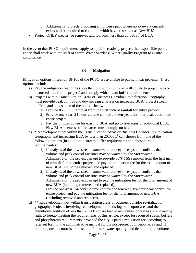- o Additionally, projects proposing a multi-use path where no sidewalk currently exists will be required to count the width beyond six feet as New BUA.
- Project ONLY creates (or removes and replaces) less than  $20,000$  ft<sup>2</sup> of BUA

In the event that PCSO requirements apply to a public roadway project, the responsible public entity shall work with the staff of Storm Water Services' Water Quality Program to ensure compliance.

#### **3.0 Mitigation**

Mitigation options in section 18-161 of the PCSO are available to public linear projects. These options include:

- a) Pay the mitigation fee for lots less than one acre ("lot" size will equate to project area or disturbed area for the project) and comply with stream buffer requirements.
- b) Projects within Transit Station Areas or Business Corridor Revitalization Geography must provide peak control and downstream analysis on increased BUA, protect stream buffers, and choose one of the options below:
	- 1) Provide 85% TSS removal from the first inch of rainfall for entire project
	- 2) Provide one-year, 24-hour volume control and ten-year, six-hour peak control for entire project
	- 3) Pay the mitigation fee for existing BUA and up to five acres of additional BUA. New BUA in excess of five acres must comply on-site.
- c) \*Redevelopment not within the Transit Station Areas or Business Corridor Revitalization Geography and increasing BUA by less than  $20,000$ ft<sup>2</sup> can choose from one of the following options (in addition to stream buffer requirements and phosphorous requirements):
	- 1) If analysis of the downstream stormwater conveyance system confirms that volume and peak control facilities may be waived by the Stormwater Administrator, the project can opt to provide 85% TSS removal from the first inch of rainfall for the entire project and pay the mitigation fee for the total amount of new BUA (including removed and replaced).
	- 2) If analysis of the downstream stormwater conveyance system confirms that volume and peak control facilities may be waived by the Stormwater Administrator, the project can opt to pay the mitigation fee for the total amount of new BUA (including removed and replaced).
	- 3) Provide one-year, 24-hour volume control and ten-year, six-hour peak control for entire project and pay the mitigation fee for the total amount of new BUA (including removed and replaced).
- d) \*\* Redevelopment not within transit station areas or business corridor revitalization geography. Projects involving redevelopment of existing built-upon-area and the cumulative addition of less than 20,000 square feet of new built-upon-area are allowed by right to forego meeting the requirements of this article, except for required stream buffers and phosphorous requirements, provided the city is paid a mitigation fee according to rates set forth in the administrative manual for the post-project built-upon-area and, if required, onsite controls are installed for stormwater quality, and detention (i.e. volume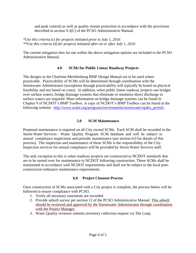and peak control) as well as quality stream protection in accordance with the provisions described in section 9.3(C) of the PCSO Administrative Manual.

*\*Use this criteria (c) for projects initiated prior to July 1, 2016 \*\*Use this criteria (d) for projects initiated after on or after July 1, 2016*

The current mitigation fees for use within the above mitigation options are included in the PCSO Administrative Manual.

#### **4.0 SCMs for Public Linear Roadway Projects**

The designs in the Charlotte-Mecklenburg BMP Design Manual are to be used where practicable. Practicability of SCMs will be determined through coordination with the Stormwater Administrator (exceptions through practicability will typically be based on physical feasibility and not based on costs). In addition, when public linear roadway projects use bridges over surface waters, bridge drainage systems that eliminate or minimize direct discharge to surface waters are required. More information on bridge drainage systems can be found in Chapter 9 of NCDOT's BMP Toolbox. A copy of NCDOT's BMP Toolbox can be found at the following website: [http://www.ncdot.org/programs/environment/stormwater/npdes\\_permit/.](http://www.ncdot.org/programs/environment/stormwater/npdes_permit/)

### **5.0 SCM Maintenance**

Perpetual maintenance is required on all City owned SCMs. Each SCM shall be recorded in the Storm Water Services – Water Quality Program SCM database and will be subject to annual compliance inspections and periodic maintenance (see section 6.0 for details of this process). The inspection and maintenance of these SCMs is the responsibility of the City. Inspection services for annual compliance will be provided by Storm Water Services staff.

The only exception to this is when roadway projects are constructed to NCDOT standards that are to be turned over for maintenance to NCDOT following construction. These SCMs shall be maintained in accordance with NCDOT requirements and shall not be subject to the local postconstruction ordinance maintenance requirements.

## **6.0 Project Closeout Process**

Once construction of SCMs associated with a City project is complete, the process below will be followed to ensure compliance with PCSO.

- 1. Verify all necessary easements are recorded.
- 2. Provide asbuilt survey per section 12 of the PCSO Administrative Manual. This asbuilt should be reviewed and approved by the Stormwater Administrator through coordination with the Project Manager.
- 3. Water Quality reviewer submits inventory collection request via The Loop.